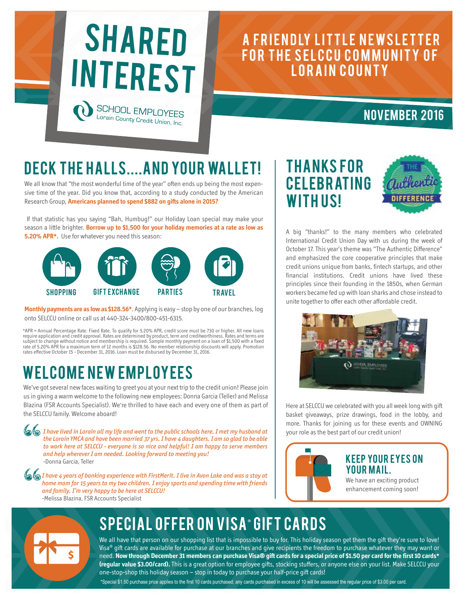

### A FRIENDLY LITTLE NEWSLETTER FOR THE SELCCU COMMUNITY OF LORAIN COUNTY

#### November 2016

# DECK THE HALLS.... AND YOUR WALLET!

We all know that "the most wonderful time of the year" often ends up being the most expensive time of the year. Did you know that, according to a study conducted by the American Research Group, **Americans planned to spend \$882 on gifts alone in 2015?** 

 If that statistic has you saying "Bah, Humbug!" our Holiday Loan special may make your season a little brighter. **Borrow up to \$1,500 for your holiday memories at a rate as low as 5.20% APR\*.** Use for whatever you need this season:



**Monthly payments are as low as \$128.56\***. Applying is easy – stop by one of our branches, log onto SELCCU online or call us at 440-324-3400/800-451-6315.

\*APR = Annual Percentage Rate. Fixed Rate. To qualify for 5.20% APR, credit score must be 730 or higher. All new loans<br>require application and credit approval. Rates are determined by product, term and creditworthiness. Ra rates effective October 15 - December 31, 2016. Loan must be disbursed by December 31, 2016.

# WELCOME NEW EMPLOYEES

We've got several new faces waiting to greet you at your next trip to the credit union! Please join us in giving a warm welcome to the following new employees: Donna Garcia (Teller) and Melissa Blazina (FSR Accounts Specialist). We're thrilled to have each and every one of them as part of the SELCCU family. Welcome aboard!

*I have lived in Lorain all my life and went to the public schools here. I met my husband at the Lorain YMCA and have been married 37 yrs. I have 4 daughters. I am so glad to be able to work here at SELCCU - everyone is so nice and helpful! I am happy to serve members and help wherever I am needed. Looking forward to meeting you!* -Donna Garcia, Teller

*I have 4 years of banking experience with FirstMerit. I live in Avon Lake and was a stay at home mom for 15 years to my two children. I enjoy sports and spending time with friends and family. I'm very happy to be here at SELCCU!* -Melissa Blazina, FSR Accounts Specialist





A big "thanks!" to the many members who celebrated International Credit Union Day with us during the week of October 17. This year's theme was "The Authentic Difference" and emphasized the core cooperative principles that make credit unions unique from banks, fintech startups, and other financial institutions. Credit unions have lived these principles since their founding in the 1850s, when German workers became fed up with loan sharks and chose instead to unite together to offer each other affordable credit.



Here at SELCCU we celebrated with you all week long with gift basket giveaways, prize drawings, food in the lobby, and more. Thanks for joining us for these events and OWNING your role as the best part of our credit union!



#### **KEEP YOUR EYES ON YOUR MAIL.**

We have an exciting product enhancement coming soon!



# SPECIAL OFFER ON VISA® GIFT CARDS

We all have that person on our shopping list that is impossible to buy for. This holiday season get them the gift they're sure to love! Visa® gift cards are available for purchase at our branches and give recipients the freedom to purchase whatever they may want or need. **Now through December 31 members can purchase Visa® gift cards for a special price of \$1.50 per card for the first 10 cards\* (regular value \$3.00/card).** This is a great option for employee gifts, stocking stuffers, or anyone else on your list. Make SELCCU your one-stop-shop this holiday season – stop in today to purchase your half-price gift cards!

\*Special \$1.50 purchase price applies to the first 10 cards purchased; any cards purchased in excess of 10 will be assessed the regular price of \$3.00 per card.